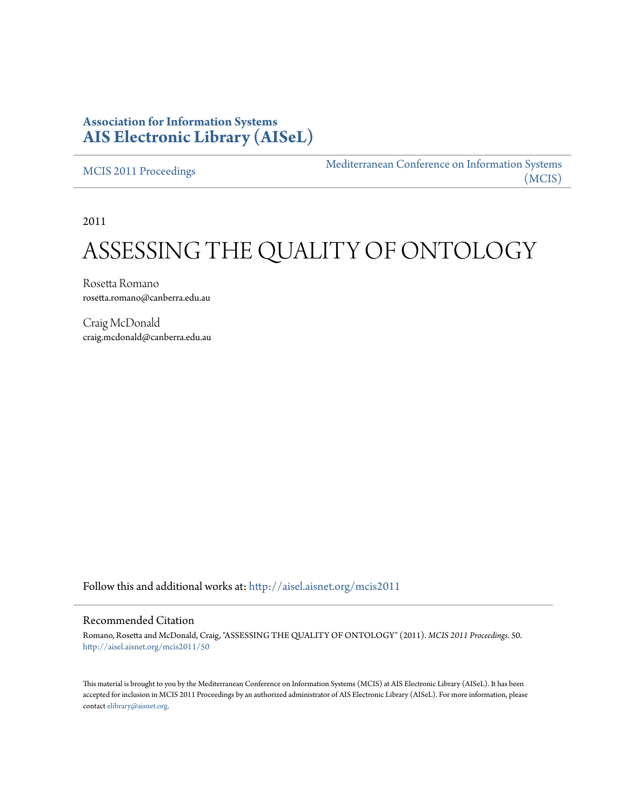## **Association for Information Systems [AIS Electronic Library \(AISeL\)](http://aisel.aisnet.org?utm_source=aisel.aisnet.org%2Fmcis2011%2F50&utm_medium=PDF&utm_campaign=PDFCoverPages)**

[MCIS 2011 Proceedings](http://aisel.aisnet.org/mcis2011?utm_source=aisel.aisnet.org%2Fmcis2011%2F50&utm_medium=PDF&utm_campaign=PDFCoverPages)

[Mediterranean Conference on Information Systems](http://aisel.aisnet.org/mcis?utm_source=aisel.aisnet.org%2Fmcis2011%2F50&utm_medium=PDF&utm_campaign=PDFCoverPages) [\(MCIS\)](http://aisel.aisnet.org/mcis?utm_source=aisel.aisnet.org%2Fmcis2011%2F50&utm_medium=PDF&utm_campaign=PDFCoverPages)

2011

# ASSESSING THE QUALITY OF ONTOLOGY

Rosetta Romano rosetta.romano@canberra.edu.au

Craig McDonald craig.mcdonald@canberra.edu.au

Follow this and additional works at: [http://aisel.aisnet.org/mcis2011](http://aisel.aisnet.org/mcis2011?utm_source=aisel.aisnet.org%2Fmcis2011%2F50&utm_medium=PDF&utm_campaign=PDFCoverPages)

#### Recommended Citation

Romano, Rosetta and McDonald, Craig, "ASSESSING THE QUALITY OF ONTOLOGY" (2011). *MCIS 2011 Proceedings*. 50. [http://aisel.aisnet.org/mcis2011/50](http://aisel.aisnet.org/mcis2011/50?utm_source=aisel.aisnet.org%2Fmcis2011%2F50&utm_medium=PDF&utm_campaign=PDFCoverPages)

This material is brought to you by the Mediterranean Conference on Information Systems (MCIS) at AIS Electronic Library (AISeL). It has been accepted for inclusion in MCIS 2011 Proceedings by an authorized administrator of AIS Electronic Library (AISeL). For more information, please contact [elibrary@aisnet.org.](mailto:elibrary@aisnet.org%3E)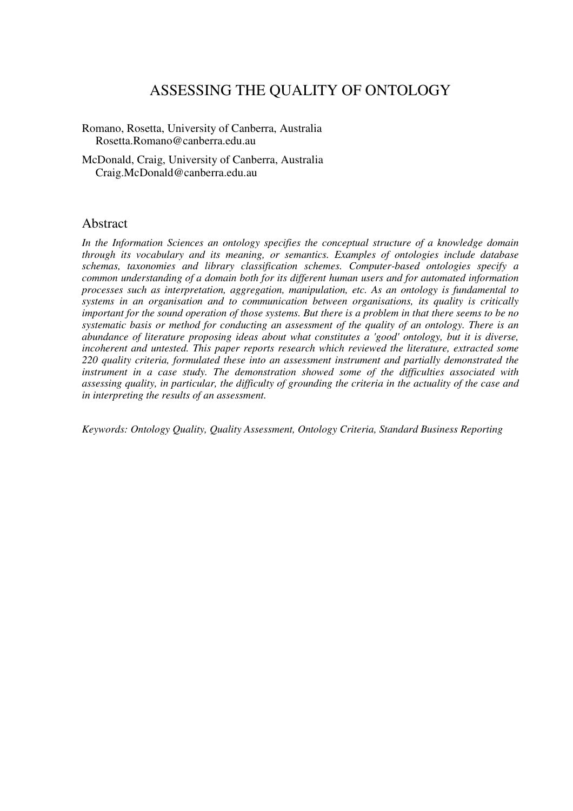# ASSESSING THE QUALITY OF ONTOLOGY

Romano, Rosetta, University of Canberra, Australia Rosetta.Romano@canberra.edu.au

McDonald, Craig, University of Canberra, Australia Craig.McDonald@canberra.edu.au

#### Abstract

*In the Information Sciences an ontology specifies the conceptual structure of a knowledge domain through its vocabulary and its meaning, or semantics. Examples of ontologies include database schemas, taxonomies and library classification schemes. Computer-based ontologies specify a common understanding of a domain both for its different human users and for automated information processes such as interpretation, aggregation, manipulation, etc. As an ontology is fundamental to systems in an organisation and to communication between organisations, its quality is critically important for the sound operation of those systems. But there is a problem in that there seems to be no systematic basis or method for conducting an assessment of the quality of an ontology. There is an abundance of literature proposing ideas about what constitutes a 'good' ontology, but it is diverse, incoherent and untested. This paper reports research which reviewed the literature, extracted some 220 quality criteria, formulated these into an assessment instrument and partially demonstrated the instrument in a case study. The demonstration showed some of the difficulties associated with assessing quality, in particular, the difficulty of grounding the criteria in the actuality of the case and in interpreting the results of an assessment.* 

*Keywords: Ontology Quality, Quality Assessment, Ontology Criteria, Standard Business Reporting*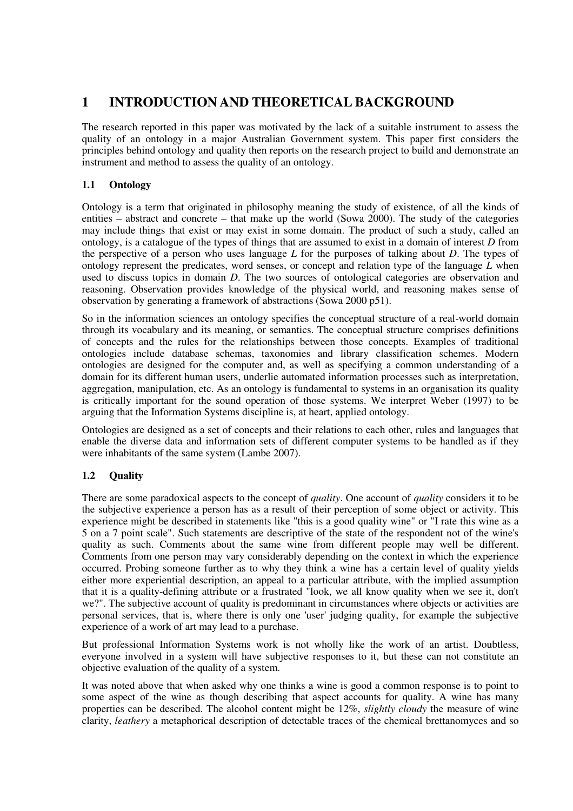## **1 INTRODUCTION AND THEORETICAL BACKGROUND**

The research reported in this paper was motivated by the lack of a suitable instrument to assess the quality of an ontology in a major Australian Government system. This paper first considers the principles behind ontology and quality then reports on the research project to build and demonstrate an instrument and method to assess the quality of an ontology.

## **1.1 Ontology**

Ontology is a term that originated in philosophy meaning the study of existence, of all the kinds of entities – abstract and concrete – that make up the world (Sowa 2000). The study of the categories may include things that exist or may exist in some domain. The product of such a study, called an ontology, is a catalogue of the types of things that are assumed to exist in a domain of interest *D* from the perspective of a person who uses language *L* for the purposes of talking about *D*. The types of ontology represent the predicates, word senses, or concept and relation type of the language *L* when used to discuss topics in domain *D*. The two sources of ontological categories are observation and reasoning. Observation provides knowledge of the physical world, and reasoning makes sense of observation by generating a framework of abstractions (Sowa 2000 p51).

So in the information sciences an ontology specifies the conceptual structure of a real-world domain through its vocabulary and its meaning, or semantics. The conceptual structure comprises definitions of concepts and the rules for the relationships between those concepts. Examples of traditional ontologies include database schemas, taxonomies and library classification schemes. Modern ontologies are designed for the computer and, as well as specifying a common understanding of a domain for its different human users, underlie automated information processes such as interpretation, aggregation, manipulation, etc. As an ontology is fundamental to systems in an organisation its quality is critically important for the sound operation of those systems. We interpret Weber (1997) to be arguing that the Information Systems discipline is, at heart, applied ontology.

Ontologies are designed as a set of concepts and their relations to each other, rules and languages that enable the diverse data and information sets of different computer systems to be handled as if they were inhabitants of the same system (Lambe 2007).

#### **1.2 Quality**

There are some paradoxical aspects to the concept of *quality*. One account of *quality* considers it to be the subjective experience a person has as a result of their perception of some object or activity. This experience might be described in statements like "this is a good quality wine" or "I rate this wine as a 5 on a 7 point scale". Such statements are descriptive of the state of the respondent not of the wine's quality as such. Comments about the same wine from different people may well be different. Comments from one person may vary considerably depending on the context in which the experience occurred. Probing someone further as to why they think a wine has a certain level of quality yields either more experiential description, an appeal to a particular attribute, with the implied assumption that it is a quality-defining attribute or a frustrated "look, we all know quality when we see it, don't we?". The subjective account of quality is predominant in circumstances where objects or activities are personal services, that is, where there is only one 'user' judging quality, for example the subjective experience of a work of art may lead to a purchase.

But professional Information Systems work is not wholly like the work of an artist. Doubtless, everyone involved in a system will have subjective responses to it, but these can not constitute an objective evaluation of the quality of a system.

It was noted above that when asked why one thinks a wine is good a common response is to point to some aspect of the wine as though describing that aspect accounts for quality. A wine has many properties can be described. The alcohol content might be 12%, *slightly cloudy* the measure of wine clarity, *leathery* a metaphorical description of detectable traces of the chemical brettanomyces and so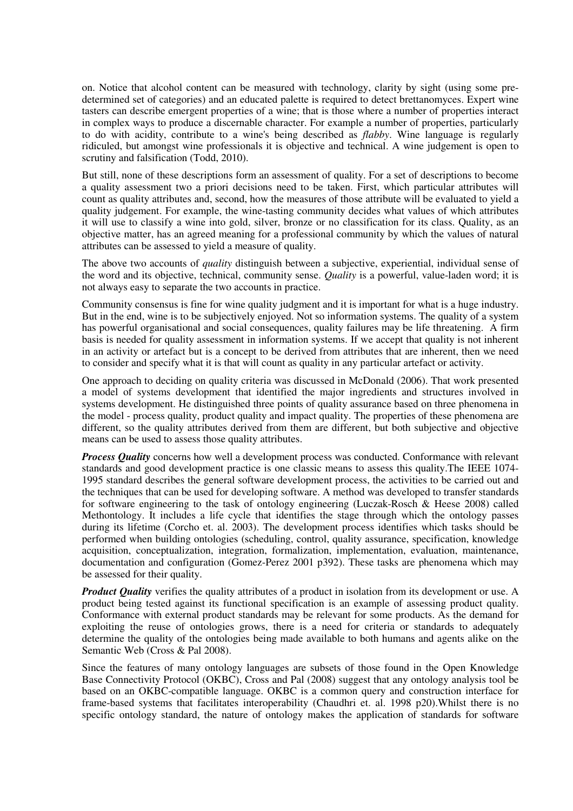on. Notice that alcohol content can be measured with technology, clarity by sight (using some predetermined set of categories) and an educated palette is required to detect brettanomyces. Expert wine tasters can describe emergent properties of a wine; that is those where a number of properties interact in complex ways to produce a discernable character. For example a number of properties, particularly to do with acidity, contribute to a wine's being described as *flabby*. Wine language is regularly ridiculed, but amongst wine professionals it is objective and technical. A wine judgement is open to scrutiny and falsification (Todd, 2010).

But still, none of these descriptions form an assessment of quality. For a set of descriptions to become a quality assessment two a priori decisions need to be taken. First, which particular attributes will count as quality attributes and, second, how the measures of those attribute will be evaluated to yield a quality judgement. For example, the wine-tasting community decides what values of which attributes it will use to classify a wine into gold, silver, bronze or no classification for its class. Quality, as an objective matter, has an agreed meaning for a professional community by which the values of natural attributes can be assessed to yield a measure of quality.

The above two accounts of *quality* distinguish between a subjective, experiential, individual sense of the word and its objective, technical, community sense. *Quality* is a powerful, value-laden word; it is not always easy to separate the two accounts in practice.

Community consensus is fine for wine quality judgment and it is important for what is a huge industry. But in the end, wine is to be subjectively enjoyed. Not so information systems. The quality of a system has powerful organisational and social consequences, quality failures may be life threatening. A firm basis is needed for quality assessment in information systems. If we accept that quality is not inherent in an activity or artefact but is a concept to be derived from attributes that are inherent, then we need to consider and specify what it is that will count as quality in any particular artefact or activity.

One approach to deciding on quality criteria was discussed in McDonald (2006). That work presented a model of systems development that identified the major ingredients and structures involved in systems development. He distinguished three points of quality assurance based on three phenomena in the model - process quality, product quality and impact quality. The properties of these phenomena are different, so the quality attributes derived from them are different, but both subjective and objective means can be used to assess those quality attributes.

*Process Quality* concerns how well a development process was conducted. Conformance with relevant standards and good development practice is one classic means to assess this quality.The IEEE 1074- 1995 standard describes the general software development process, the activities to be carried out and the techniques that can be used for developing software. A method was developed to transfer standards for software engineering to the task of ontology engineering (Luczak-Rosch & Heese 2008) called Methontology. It includes a life cycle that identifies the stage through which the ontology passes during its lifetime (Corcho et. al. 2003). The development process identifies which tasks should be performed when building ontologies (scheduling, control, quality assurance, specification, knowledge acquisition, conceptualization, integration, formalization, implementation, evaluation, maintenance, documentation and configuration (Gomez-Perez 2001 p392). These tasks are phenomena which may be assessed for their quality.

*Product Quality* verifies the quality attributes of a product in isolation from its development or use. A product being tested against its functional specification is an example of assessing product quality. Conformance with external product standards may be relevant for some products. As the demand for exploiting the reuse of ontologies grows, there is a need for criteria or standards to adequately determine the quality of the ontologies being made available to both humans and agents alike on the Semantic Web (Cross & Pal 2008).

Since the features of many ontology languages are subsets of those found in the Open Knowledge Base Connectivity Protocol (OKBC), Cross and Pal (2008) suggest that any ontology analysis tool be based on an OKBC-compatible language. OKBC is a common query and construction interface for frame-based systems that facilitates interoperability (Chaudhri et. al. 1998 p20).Whilst there is no specific ontology standard, the nature of ontology makes the application of standards for software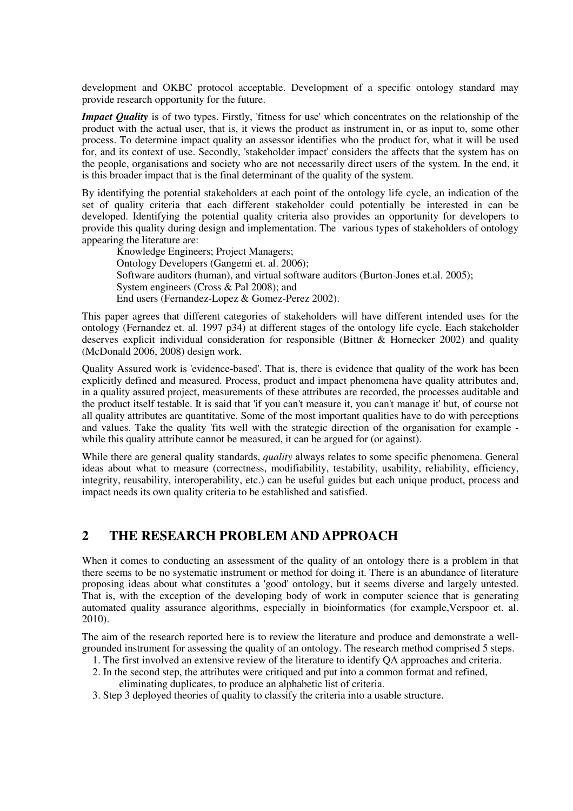development and OKBC protocol acceptable. Development of a specific ontology standard may provide research opportunity for the future.

*Impact Quality* is of two types. Firstly, 'fitness for use' which concentrates on the relationship of the product with the actual user, that is, it views the product as instrument in, or as input to, some other process. To determine impact quality an assessor identifies who the product for, what it will be used for, and its context of use. Secondly, 'stakeholder impact' considers the affects that the system has on the people, organisations and society who are not necessarily direct users of the system. In the end, it is this broader impact that is the final determinant of the quality of the system.

By identifying the potential stakeholders at each point of the ontology life cycle, an indication of the set of quality criteria that each different stakeholder could potentially be interested in can be developed. Identifying the potential quality criteria also provides an opportunity for developers to provide this quality during design and implementation. The various types of stakeholders of ontology appearing the literature are:

 Knowledge Engineers; Project Managers; Ontology Developers (Gangemi et. al. 2006); Software auditors (human), and virtual software auditors (Burton-Jones et.al. 2005); System engineers (Cross & Pal 2008); and End users (Fernandez-Lopez & Gomez-Perez 2002).

This paper agrees that different categories of stakeholders will have different intended uses for the ontology (Fernandez et. al. 1997 p34) at different stages of the ontology life cycle. Each stakeholder deserves explicit individual consideration for responsible (Bittner & Hornecker 2002) and quality (McDonald 2006, 2008) design work.

Quality Assured work is 'evidence-based'. That is, there is evidence that quality of the work has been explicitly defined and measured. Process, product and impact phenomena have quality attributes and, in a quality assured project, measurements of these attributes are recorded, the processes auditable and the product itself testable. It is said that 'if you can't measure it, you can't manage it' but, of course not all quality attributes are quantitative. Some of the most important qualities have to do with perceptions and values. Take the quality 'fits well with the strategic direction of the organisation for example while this quality attribute cannot be measured, it can be argued for (or against).

While there are general quality standards, *quality* always relates to some specific phenomena. General ideas about what to measure (correctness, modifiability, testability, usability, reliability, efficiency, integrity, reusability, interoperability, etc.) can be useful guides but each unique product, process and impact needs its own quality criteria to be established and satisfied.

## **2 THE RESEARCH PROBLEM AND APPROACH**

When it comes to conducting an assessment of the quality of an ontology there is a problem in that there seems to be no systematic instrument or method for doing it. There is an abundance of literature proposing ideas about what constitutes a 'good' ontology, but it seems diverse and largely untested. That is, with the exception of the developing body of work in computer science that is generating automated quality assurance algorithms, especially in bioinformatics (for example,Verspoor et. al. 2010).

The aim of the research reported here is to review the literature and produce and demonstrate a wellgrounded instrument for assessing the quality of an ontology. The research method comprised 5 steps.

- 1. The first involved an extensive review of the literature to identify QA approaches and criteria.
- 2. In the second step, the attributes were critiqued and put into a common format and refined,
	- eliminating duplicates, to produce an alphabetic list of criteria.
- 3. Step 3 deployed theories of quality to classify the criteria into a usable structure.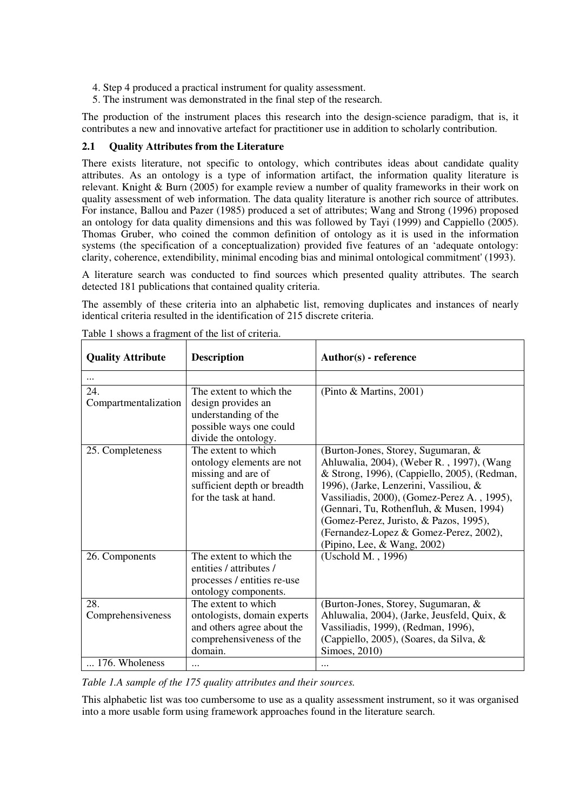- 4. Step 4 produced a practical instrument for quality assessment.
- 5. The instrument was demonstrated in the final step of the research.

The production of the instrument places this research into the design-science paradigm, that is, it contributes a new and innovative artefact for practitioner use in addition to scholarly contribution.

#### **2.1 Quality Attributes from the Literature**

There exists literature, not specific to ontology, which contributes ideas about candidate quality attributes. As an ontology is a type of information artifact, the information quality literature is relevant. Knight & Burn (2005) for example review a number of quality frameworks in their work on quality assessment of web information. The data quality literature is another rich source of attributes. For instance, Ballou and Pazer (1985) produced a set of attributes; Wang and Strong (1996) proposed an ontology for data quality dimensions and this was followed by Tayi (1999) and Cappiello (2005). Thomas Gruber, who coined the common definition of ontology as it is used in the information systems (the specification of a conceptualization) provided five features of an 'adequate ontology: clarity, coherence, extendibility, minimal encoding bias and minimal ontological commitment' (1993).

A literature search was conducted to find sources which presented quality attributes. The search detected 181 publications that contained quality criteria.

The assembly of these criteria into an alphabetic list, removing duplicates and instances of nearly identical criteria resulted in the identification of 215 discrete criteria.

| <b>Quality Attribute</b>    | <b>Description</b>                                                                                                             | Author(s) - reference                                                                                                                                                                                                                                                                                                                                                                    |
|-----------------------------|--------------------------------------------------------------------------------------------------------------------------------|------------------------------------------------------------------------------------------------------------------------------------------------------------------------------------------------------------------------------------------------------------------------------------------------------------------------------------------------------------------------------------------|
|                             |                                                                                                                                |                                                                                                                                                                                                                                                                                                                                                                                          |
| 24.<br>Compartmentalization | The extent to which the<br>design provides an<br>understanding of the<br>possible ways one could<br>divide the ontology.       | (Pinto & Martins, 2001)                                                                                                                                                                                                                                                                                                                                                                  |
| 25. Completeness            | The extent to which<br>ontology elements are not<br>missing and are of<br>sufficient depth or breadth<br>for the task at hand. | (Burton-Jones, Storey, Sugumaran, &<br>Ahluwalia, 2004), (Weber R., 1997), (Wang<br>& Strong, 1996), (Cappiello, 2005), (Redman,<br>1996), (Jarke, Lenzerini, Vassiliou, &<br>Vassiliadis, 2000), (Gomez-Perez A., 1995),<br>(Gennari, Tu, Rothenfluh, & Musen, 1994)<br>(Gomez-Perez, Juristo, & Pazos, 1995),<br>(Fernandez-Lopez & Gomez-Perez, 2002),<br>(Pipino, Lee, & Wang, 2002) |
| 26. Components              | The extent to which the<br>entities / attributes /<br>processes / entities re-use<br>ontology components.                      | (Uschold M., 1996)                                                                                                                                                                                                                                                                                                                                                                       |
| 28.<br>Comprehensiveness    | The extent to which<br>ontologists, domain experts<br>and others agree about the<br>comprehensiveness of the<br>domain.        | (Burton-Jones, Storey, Sugumaran, &<br>Ahluwalia, 2004), (Jarke, Jeusfeld, Quix, &<br>Vassiliadis, 1999), (Redman, 1996),<br>(Cappiello, 2005), (Soares, da Silva, &<br>Simoes, 2010)                                                                                                                                                                                                    |
| 176. Wholeness              | $\cdots$                                                                                                                       |                                                                                                                                                                                                                                                                                                                                                                                          |

Table 1 shows a fragment of the list of criteria.

*Table 1.A sample of the 175 quality attributes and their sources.* 

This alphabetic list was too cumbersome to use as a quality assessment instrument, so it was organised into a more usable form using framework approaches found in the literature search.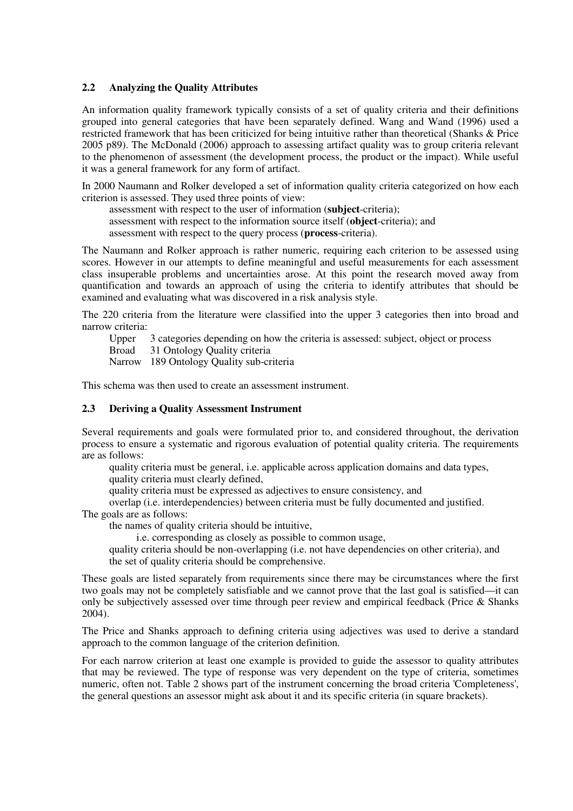#### **2.2 Analyzing the Quality Attributes**

An information quality framework typically consists of a set of quality criteria and their definitions grouped into general categories that have been separately defined. Wang and Wand (1996) used a restricted framework that has been criticized for being intuitive rather than theoretical (Shanks & Price 2005 p89). The McDonald (2006) approach to assessing artifact quality was to group criteria relevant to the phenomenon of assessment (the development process, the product or the impact). While useful it was a general framework for any form of artifact.

In 2000 Naumann and Rolker developed a set of information quality criteria categorized on how each criterion is assessed. They used three points of view:

 assessment with respect to the user of information (**subject**-criteria); assessment with respect to the information source itself (**object**-criteria); and assessment with respect to the query process (**process**-criteria).

The Naumann and Rolker approach is rather numeric, requiring each criterion to be assessed using scores. However in our attempts to define meaningful and useful measurements for each assessment class insuperable problems and uncertainties arose. At this point the research moved away from quantification and towards an approach of using the criteria to identify attributes that should be examined and evaluating what was discovered in a risk analysis style.

The 220 criteria from the literature were classified into the upper 3 categories then into broad and narrow criteria:

Upper 3 categories depending on how the criteria is assessed: subject, object or process

Broad 31 Ontology Quality criteria

Narrow 189 Ontology Quality sub-criteria

This schema was then used to create an assessment instrument.

#### **2.3 Deriving a Quality Assessment Instrument**

Several requirements and goals were formulated prior to, and considered throughout, the derivation process to ensure a systematic and rigorous evaluation of potential quality criteria. The requirements are as follows:

 quality criteria must be general, i.e. applicable across application domains and data types, quality criteria must clearly defined,

quality criteria must be expressed as adjectives to ensure consistency, and

overlap (i.e. interdependencies) between criteria must be fully documented and justified.

The goals are as follows:

the names of quality criteria should be intuitive,

i.e. corresponding as closely as possible to common usage,

 quality criteria should be non-overlapping (i.e. not have dependencies on other criteria), and the set of quality criteria should be comprehensive.

These goals are listed separately from requirements since there may be circumstances where the first two goals may not be completely satisfiable and we cannot prove that the last goal is satisfied—it can only be subjectively assessed over time through peer review and empirical feedback (Price & Shanks 2004).

The Price and Shanks approach to defining criteria using adjectives was used to derive a standard approach to the common language of the criterion definition.

For each narrow criterion at least one example is provided to guide the assessor to quality attributes that may be reviewed. The type of response was very dependent on the type of criteria, sometimes numeric, often not. Table 2 shows part of the instrument concerning the broad criteria 'Completeness', the general questions an assessor might ask about it and its specific criteria (in square brackets).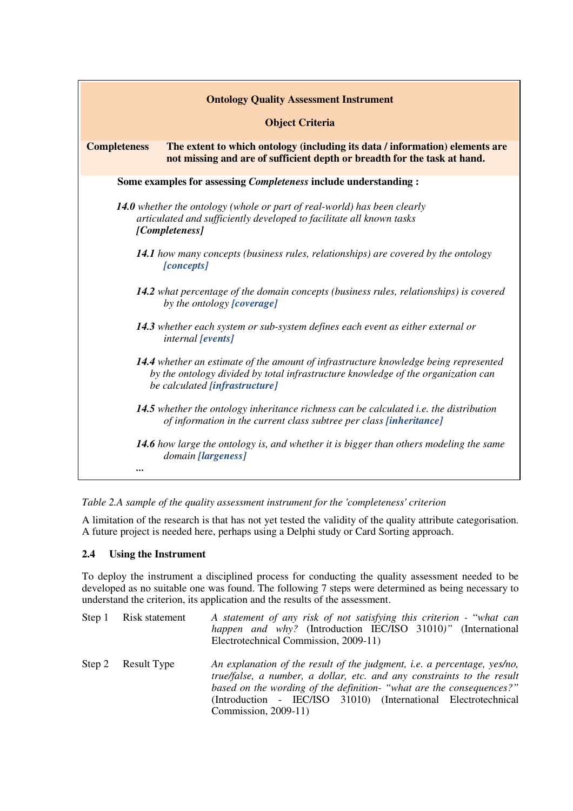| <b>Ontology Quality Assessment Instrument</b>                                                                                                                                                               |  |  |
|-------------------------------------------------------------------------------------------------------------------------------------------------------------------------------------------------------------|--|--|
| <b>Object Criteria</b>                                                                                                                                                                                      |  |  |
| <b>Completeness</b><br>The extent to which ontology (including its data / information) elements are<br>not missing and are of sufficient depth or breadth for the task at hand.                             |  |  |
| Some examples for assessing <i>Completeness</i> include understanding:                                                                                                                                      |  |  |
| <b>14.0</b> whether the ontology (whole or part of real-world) has been clearly<br>articulated and sufficiently developed to facilitate all known tasks<br>[Completeness]                                   |  |  |
| 14.1 how many concepts (business rules, relationships) are covered by the ontology<br>[concepts]                                                                                                            |  |  |
| <b>14.2</b> what percentage of the domain concepts (business rules, relationships) is covered<br>by the ontology [coverage]                                                                                 |  |  |
| 14.3 whether each system or sub-system defines each event as either external or<br><i>internal</i> [events]                                                                                                 |  |  |
| 14.4 whether an estimate of the amount of infrastructure knowledge being represented<br>by the ontology divided by total infrastructure knowledge of the organization can<br>be calculated [infrastructure] |  |  |
| 14.5 whether the ontology inheritance richness can be calculated <i>i.e.</i> the distribution<br>of information in the current class subtree per class [inheritance]                                        |  |  |
| <b>14.6</b> how large the ontology is, and whether it is bigger than others modeling the same<br>domain [largeness]                                                                                         |  |  |
|                                                                                                                                                                                                             |  |  |

*Table 2.A sample of the quality assessment instrument for the 'completeness' criterion* 

A limitation of the research is that has not yet tested the validity of the quality attribute categorisation. A future project is needed here, perhaps using a Delphi study or Card Sorting approach.

#### **2.4 Using the Instrument**

To deploy the instrument a disciplined process for conducting the quality assessment needed to be developed as no suitable one was found. The following 7 steps were determined as being necessary to understand the criterion, its application and the results of the assessment.

| Step 1 Risk statement | A statement of any risk of not satisfying this criterion - "what can<br>happen and why? (Introduction IEC/ISO 31010)" (International<br>Electrotechnical Commission, 2009-11)                                                                                                                                               |  |
|-----------------------|-----------------------------------------------------------------------------------------------------------------------------------------------------------------------------------------------------------------------------------------------------------------------------------------------------------------------------|--|
| Step 2 Result Type    | An explanation of the result of the judgment, <i>i.e.</i> a percentage, yes/no,<br>true/false, a number, a dollar, etc. and any constraints to the result<br>based on the wording of the definition- "what are the consequences?"<br>(Introduction - IEC/ISO 31010) (International Electrotechnical<br>Commission, 2009-11) |  |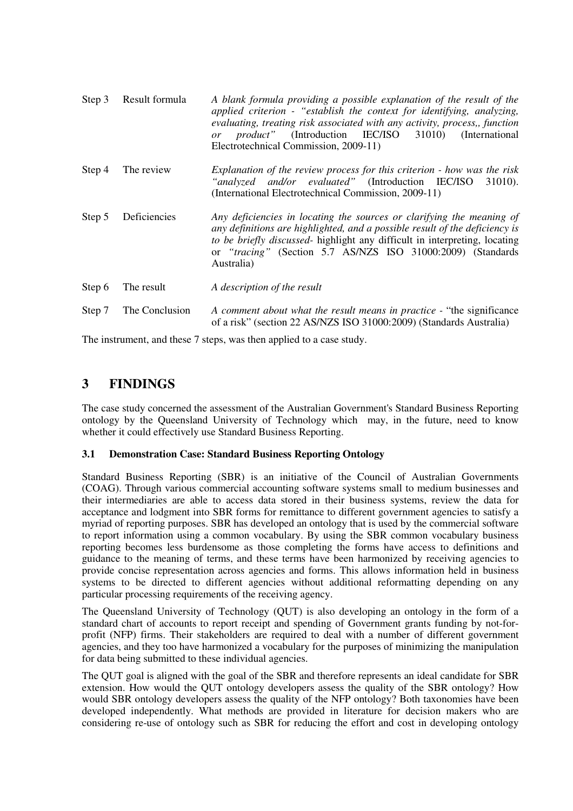| Step 3 | Result formula | A blank formula providing a possible explanation of the result of the<br>applied criterion - "establish the context for identifying, analyzing,<br>evaluating, treating risk associated with any activity, process,, function<br><i>product"</i> (Introduction IEC/ISO 31010) (International<br>or<br>Electrotechnical Commission, 2009-11) |
|--------|----------------|---------------------------------------------------------------------------------------------------------------------------------------------------------------------------------------------------------------------------------------------------------------------------------------------------------------------------------------------|
| Step 4 | The review     | Explanation of the review process for this criterion - how was the risk<br>"analyzed and/or evaluated" (Introduction IEC/ISO 31010).<br>(International Electrotechnical Commission, 2009-11)                                                                                                                                                |
| Step 5 | Deficiencies   | Any deficiencies in locating the sources or clarifying the meaning of<br>any definitions are highlighted, and a possible result of the deficiency is<br>to be briefly discussed- highlight any difficult in interpreting, locating<br>or "tracing" (Section 5.7 AS/NZS ISO 31000:2009) (Standards<br>Australia)                             |
| Step 6 | The result     | A description of the result                                                                                                                                                                                                                                                                                                                 |
| Step 7 | The Conclusion | A comment about what the result means in practice - "the significance"<br>of a risk" (section 22 AS/NZS ISO 31000:2009) (Standards Australia)                                                                                                                                                                                               |

The instrument, and these 7 steps, was then applied to a case study.

## **3 FINDINGS**

The case study concerned the assessment of the Australian Government's Standard Business Reporting ontology by the Queensland University of Technology which may, in the future, need to know whether it could effectively use Standard Business Reporting.

#### **3.1 Demonstration Case: Standard Business Reporting Ontology**

Standard Business Reporting (SBR) is an initiative of the Council of Australian Governments (COAG). Through various commercial accounting software systems small to medium businesses and their intermediaries are able to access data stored in their business systems, review the data for acceptance and lodgment into SBR forms for remittance to different government agencies to satisfy a myriad of reporting purposes. SBR has developed an ontology that is used by the commercial software to report information using a common vocabulary. By using the SBR common vocabulary business reporting becomes less burdensome as those completing the forms have access to definitions and guidance to the meaning of terms, and these terms have been harmonized by receiving agencies to provide concise representation across agencies and forms. This allows information held in business systems to be directed to different agencies without additional reformatting depending on any particular processing requirements of the receiving agency.

The Queensland University of Technology (QUT) is also developing an ontology in the form of a standard chart of accounts to report receipt and spending of Government grants funding by not-forprofit (NFP) firms. Their stakeholders are required to deal with a number of different government agencies, and they too have harmonized a vocabulary for the purposes of minimizing the manipulation for data being submitted to these individual agencies.

The QUT goal is aligned with the goal of the SBR and therefore represents an ideal candidate for SBR extension. How would the QUT ontology developers assess the quality of the SBR ontology? How would SBR ontology developers assess the quality of the NFP ontology? Both taxonomies have been developed independently. What methods are provided in literature for decision makers who are considering re-use of ontology such as SBR for reducing the effort and cost in developing ontology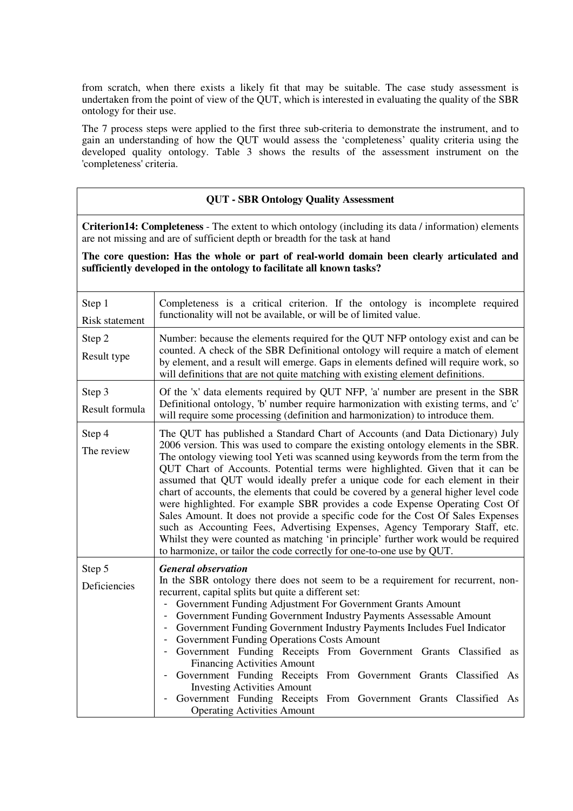from scratch, when there exists a likely fit that may be suitable. The case study assessment is undertaken from the point of view of the QUT, which is interested in evaluating the quality of the SBR ontology for their use.

The 7 process steps were applied to the first three sub-criteria to demonstrate the instrument, and to gain an understanding of how the QUT would assess the 'completeness' quality criteria using the developed quality ontology. Table 3 shows the results of the assessment instrument on the 'completeness' criteria.

#### **QUT - SBR Ontology Quality Assessment**

**Criterion14: Completeness** - The extent to which ontology (including its data / information) elements are not missing and are of sufficient depth or breadth for the task at hand

**The core question: Has the whole or part of real-world domain been clearly articulated and sufficiently developed in the ontology to facilitate all known tasks?** 

| Step 1<br><b>Risk statement</b> | Completeness is a critical criterion. If the ontology is incomplete required<br>functionality will not be available, or will be of limited value.                                                                                                                                                                                                                                                                                                                                                                                                                                                                                                                                                                                                                                                                                                                                                                                 |
|---------------------------------|-----------------------------------------------------------------------------------------------------------------------------------------------------------------------------------------------------------------------------------------------------------------------------------------------------------------------------------------------------------------------------------------------------------------------------------------------------------------------------------------------------------------------------------------------------------------------------------------------------------------------------------------------------------------------------------------------------------------------------------------------------------------------------------------------------------------------------------------------------------------------------------------------------------------------------------|
| Step 2<br>Result type           | Number: because the elements required for the QUT NFP ontology exist and can be<br>counted. A check of the SBR Definitional ontology will require a match of element<br>by element, and a result will emerge. Gaps in elements defined will require work, so<br>will definitions that are not quite matching with existing element definitions.                                                                                                                                                                                                                                                                                                                                                                                                                                                                                                                                                                                   |
| Step 3<br>Result formula        | Of the 'x' data elements required by QUT NFP, 'a' number are present in the SBR<br>Definitional ontology, 'b' number require harmonization with existing terms, and 'c'<br>will require some processing (definition and harmonization) to introduce them.                                                                                                                                                                                                                                                                                                                                                                                                                                                                                                                                                                                                                                                                         |
| Step 4<br>The review            | The QUT has published a Standard Chart of Accounts (and Data Dictionary) July<br>2006 version. This was used to compare the existing ontology elements in the SBR.<br>The ontology viewing tool Yeti was scanned using keywords from the term from the<br>QUT Chart of Accounts. Potential terms were highlighted. Given that it can be<br>assumed that QUT would ideally prefer a unique code for each element in their<br>chart of accounts, the elements that could be covered by a general higher level code<br>were highlighted. For example SBR provides a code Expense Operating Cost Of<br>Sales Amount. It does not provide a specific code for the Cost Of Sales Expenses<br>such as Accounting Fees, Advertising Expenses, Agency Temporary Staff, etc.<br>Whilst they were counted as matching 'in principle' further work would be required<br>to harmonize, or tailor the code correctly for one-to-one use by QUT. |
| Step 5<br>Deficiencies          | <b>General observation</b><br>In the SBR ontology there does not seem to be a requirement for recurrent, non-<br>recurrent, capital splits but quite a different set:<br>Government Funding Adjustment For Government Grants Amount<br>Government Funding Government Industry Payments Assessable Amount<br>Government Funding Government Industry Payments Includes Fuel Indicator<br>Government Funding Operations Costs Amount<br>Government Funding Receipts From Government Grants Classified as<br><b>Financing Activities Amount</b><br>- Government Funding Receipts From Government Grants Classified As<br><b>Investing Activities Amount</b><br>Government Funding Receipts From Government Grants Classified As<br><b>Operating Activities Amount</b>                                                                                                                                                                 |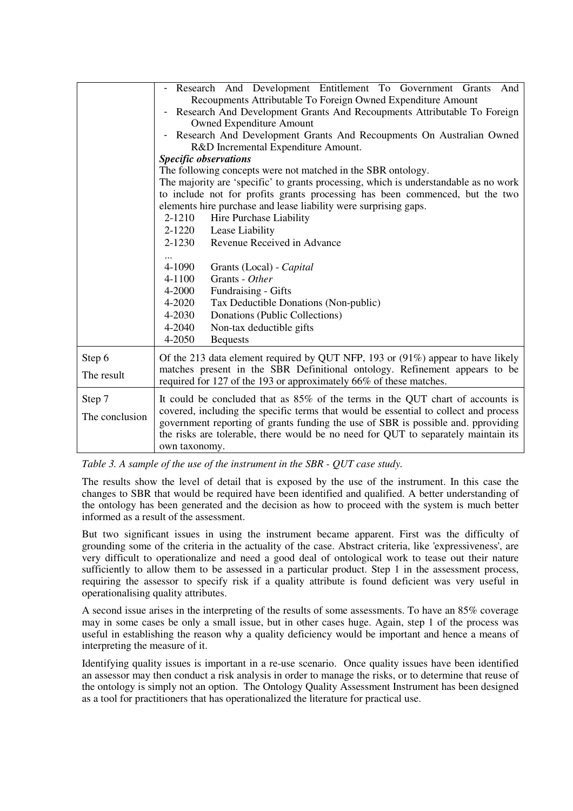|                          | Research And Development Entitlement To Government Grants And<br>Recoupments Attributable To Foreign Owned Expenditure Amount<br>Research And Development Grants And Recoupments Attributable To Foreign<br><b>Owned Expenditure Amount</b><br>Research And Development Grants And Recoupments On Australian Owned<br>R&D Incremental Expenditure Amount.<br><b>Specific observations</b><br>The following concepts were not matched in the SBR ontology. |  |
|--------------------------|-----------------------------------------------------------------------------------------------------------------------------------------------------------------------------------------------------------------------------------------------------------------------------------------------------------------------------------------------------------------------------------------------------------------------------------------------------------|--|
|                          | The majority are 'specific' to grants processing, which is understandable as no work<br>to include not for profits grants processing has been commenced, but the two<br>elements hire purchase and lease liability were surprising gaps.<br>Hire Purchase Liability<br>2-1210<br>2-1220<br>Lease Liability                                                                                                                                                |  |
|                          | Revenue Received in Advance<br>$2 - 1230$<br>4-1090<br>Grants (Local) - Capital<br>Grants - Other<br>4-1100<br>4-2000<br>Fundraising - Gifts<br>4-2020<br>Tax Deductible Donations (Non-public)<br>4-2030<br>Donations (Public Collections)<br>Non-tax deductible gifts<br>4-2040<br>4-2050<br><b>Bequests</b>                                                                                                                                            |  |
| Step 6<br>The result     | Of the 213 data element required by QUT NFP, 193 or (91%) appear to have likely<br>matches present in the SBR Definitional ontology. Refinement appears to be<br>required for 127 of the 193 or approximately 66% of these matches.                                                                                                                                                                                                                       |  |
| Step 7<br>The conclusion | It could be concluded that as $85\%$ of the terms in the QUT chart of accounts is<br>covered, including the specific terms that would be essential to collect and process<br>government reporting of grants funding the use of SBR is possible and. pproviding<br>the risks are tolerable, there would be no need for QUT to separately maintain its<br>own taxonomy.                                                                                     |  |

*Table 3. A sample of the use of the instrument in the SBR - QUT case study.* 

The results show the level of detail that is exposed by the use of the instrument. In this case the changes to SBR that would be required have been identified and qualified. A better understanding of the ontology has been generated and the decision as how to proceed with the system is much better informed as a result of the assessment.

But two significant issues in using the instrument became apparent. First was the difficulty of grounding some of the criteria in the actuality of the case. Abstract criteria, like 'expressiveness', are very difficult to operationalize and need a good deal of ontological work to tease out their nature sufficiently to allow them to be assessed in a particular product. Step 1 in the assessment process, requiring the assessor to specify risk if a quality attribute is found deficient was very useful in operationalising quality attributes.

A second issue arises in the interpreting of the results of some assessments. To have an 85% coverage may in some cases be only a small issue, but in other cases huge. Again, step 1 of the process was useful in establishing the reason why a quality deficiency would be important and hence a means of interpreting the measure of it.

Identifying quality issues is important in a re-use scenario. Once quality issues have been identified an assessor may then conduct a risk analysis in order to manage the risks, or to determine that reuse of the ontology is simply not an option. The Ontology Quality Assessment Instrument has been designed as a tool for practitioners that has operationalized the literature for practical use.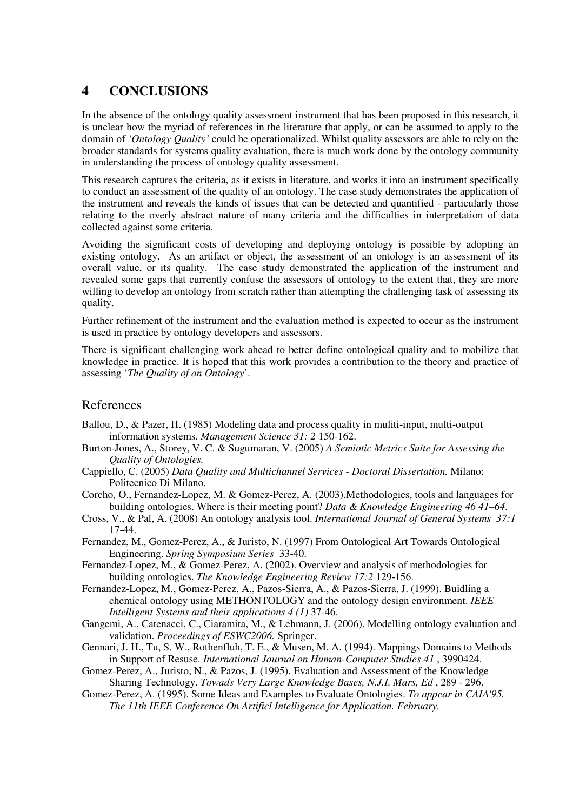## **4 CONCLUSIONS**

In the absence of the ontology quality assessment instrument that has been proposed in this research, it is unclear how the myriad of references in the literature that apply, or can be assumed to apply to the domain of *'Ontology Quality'* could be operationalized. Whilst quality assessors are able to rely on the broader standards for systems quality evaluation, there is much work done by the ontology community in understanding the process of ontology quality assessment.

This research captures the criteria, as it exists in literature, and works it into an instrument specifically to conduct an assessment of the quality of an ontology. The case study demonstrates the application of the instrument and reveals the kinds of issues that can be detected and quantified - particularly those relating to the overly abstract nature of many criteria and the difficulties in interpretation of data collected against some criteria.

Avoiding the significant costs of developing and deploying ontology is possible by adopting an existing ontology. As an artifact or object, the assessment of an ontology is an assessment of its overall value, or its quality. The case study demonstrated the application of the instrument and revealed some gaps that currently confuse the assessors of ontology to the extent that, they are more willing to develop an ontology from scratch rather than attempting the challenging task of assessing its quality.

Further refinement of the instrument and the evaluation method is expected to occur as the instrument is used in practice by ontology developers and assessors.

There is significant challenging work ahead to better define ontological quality and to mobilize that knowledge in practice. It is hoped that this work provides a contribution to the theory and practice of assessing '*The Quality of an Ontology*'.

## References

- Ballou, D., & Pazer, H. (1985) Modeling data and process quality in muliti-input, multi-output information systems. *Management Science 31: 2* 150-162.
- Burton-Jones, A., Storey, V. C. & Sugumaran, V. (2005) *A Semiotic Metrics Suite for Assessing the Quality of Ontologies.*
- Cappiello, C. (2005) *Data Quality and Multichannel Services Doctoral Dissertation.* Milano: Politecnico Di Milano.
- Corcho, O., Fernandez-Lopez, M. & Gomez-Perez, A. (2003).Methodologies, tools and languages for building ontologies. Where is their meeting point? *Data & Knowledge Engineering 46 41–64*.
- Cross, V., & Pal, A. (2008) An ontology analysis tool. *International Journal of General Systems 37:1*  17-44.
- Fernandez, M., Gomez-Perez, A., & Juristo, N. (1997) From Ontological Art Towards Ontological Engineering. *Spring Symposium Series* 33-40.
- Fernandez-Lopez, M., & Gomez-Perez, A. (2002). Overview and analysis of methodologies for building ontologies. *The Knowledge Engineering Review 17:2* 129-156.
- Fernandez-Lopez, M., Gomez-Perez, A., Pazos-Sierra, A., & Pazos-Sierra, J. (1999). Buidling a chemical ontology using METHONTOLOGY and the ontology design environment. *IEEE Intelligent Systems and their applications 4 (1)* 37-46.
- Gangemi, A., Catenacci, C., Ciaramita, M., & Lehmann, J. (2006). Modelling ontology evaluation and validation. *Proceedings of ESWC2006.* Springer.
- Gennari, J. H., Tu, S. W., Rothenfluh, T. E., & Musen, M. A. (1994). Mappings Domains to Methods in Support of Resuse. *International Journal on Human-Computer Studies 41* , 3990424.
- Gomez-Perez, A., Juristo, N., & Pazos, J. (1995). Evaluation and Assessment of the Knowledge Sharing Technology. *Towads Very Large Knowledge Bases, N.J.I. Mars, Ed* , 289 - 296.
- Gomez-Perez, A. (1995). Some Ideas and Examples to Evaluate Ontologies. *To appear in CAIA'95. The 11th IEEE Conference On Artificl Intelligence for Application. February.*